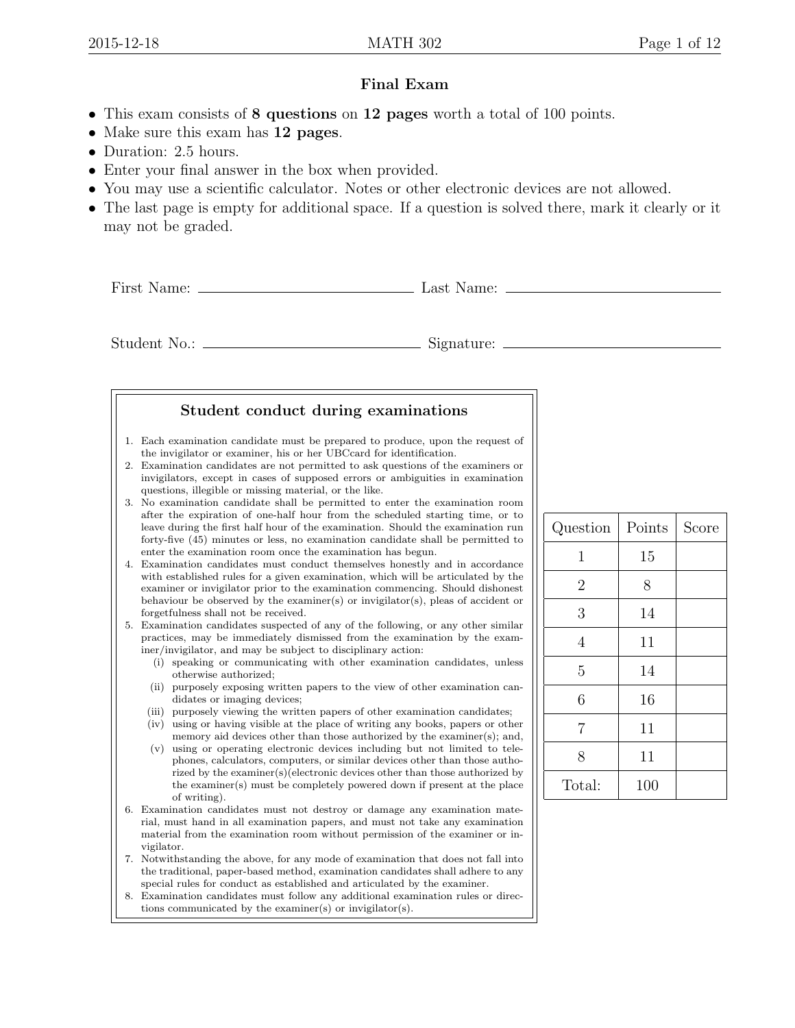## Final Exam

- This exam consists of 8 questions on 12 pages worth a total of 100 points.
- Make sure this exam has 12 pages.
- Duration: 2.5 hours.
- Enter your final answer in the box when provided.
- You may use a scientific calculator. Notes or other electronic devices are not allowed.
- The last page is empty for additional space. If a question is solved there, mark it clearly or it may not be graded.

First Name: Last Name:

Student No.: Signature:

## Student conduct during examinations

- 1. Each examination candidate must be prepared to produce, upon the request of the invigilator or examiner, his or her UBCcard for identification.
- 2. Examination candidates are not permitted to ask questions of the examiners or invigilators, except in cases of supposed errors or ambiguities in examination questions, illegible or missing material, or the like.
- 3. No examination candidate shall be permitted to enter the examination room after the expiration of one-half hour from the scheduled starting time, or to leave during the first half hour of the examination. Should the examination run forty-five (45) minutes or less, no examination candidate shall be permitted to enter the examination room once the examination has begun.
- 4. Examination candidates must conduct themselves honestly and in accordance with established rules for a given examination, which will be articulated by the examiner or invigilator prior to the examination commencing. Should dishonest behaviour be observed by the examiner(s) or invigilator(s), pleas of accident or forgetfulness shall not be received.

5. Examination candidates suspected of any of the following, or any other similar practices, may be immediately dismissed from the examination by the examiner/invigilator, and may be subject to disciplinary action:

- (i) speaking or communicating with other examination candidates, unless otherwise authorized;
- (ii) purposely exposing written papers to the view of other examination candidates or imaging devices;
- (iii) purposely viewing the written papers of other examination candidates; (iv) using or having visible at the place of writing any books, papers or other
- memory aid devices other than those authorized by the examiner(s); and, (v) using or operating electronic devices including but not limited to telephones, calculators, computers, or similar devices other than those autho-
- rized by the examiner(s)(electronic devices other than those authorized by the examiner(s) must be completely powered down if present at the place of writing).
- 6. Examination candidates must not destroy or damage any examination material, must hand in all examination papers, and must not take any examination material from the examination room without permission of the examiner or invigilator.
- 7. Notwithstanding the above, for any mode of examination that does not fall into the traditional, paper-based method, examination candidates shall adhere to any special rules for conduct as established and articulated by the examiner.
- Examination candidates must follow any additional examination rules or directions communicated by the examiner(s) or invigilator(s).

| Question       | Points | Score |  |  |
|----------------|--------|-------|--|--|
| $\mathbf{1}$   | 15     |       |  |  |
| $\overline{2}$ | 8      |       |  |  |
| 3              | 14     |       |  |  |
| $\overline{4}$ | 11     |       |  |  |
| 5              | 14     |       |  |  |
| 6              | 16     |       |  |  |
| $\overline{7}$ | 11     |       |  |  |
| 8              | 11     |       |  |  |
| Total:         | 100    |       |  |  |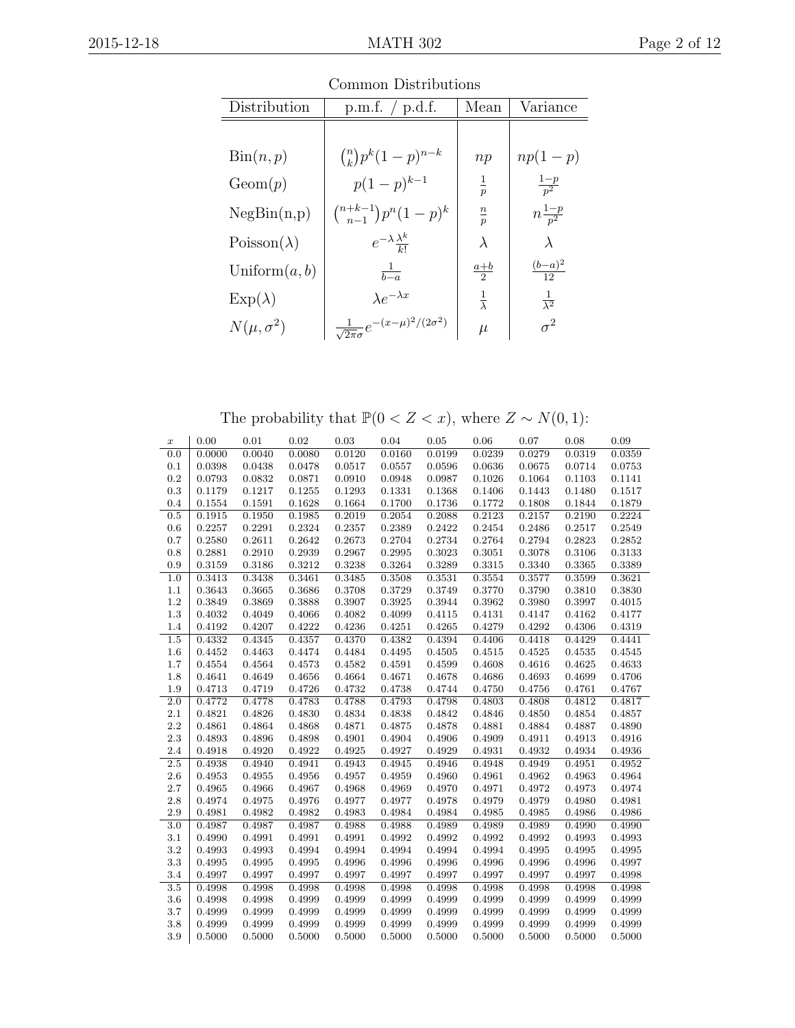| Distribution               | p.m.f. $/$ p.d.f.                                       | Mean                | Variance              |  |  |  |  |
|----------------------------|---------------------------------------------------------|---------------------|-----------------------|--|--|--|--|
|                            |                                                         |                     |                       |  |  |  |  |
| $\operatorname{Bin}(n, p)$ | $\binom{n}{k} p^k (1-p)^{n-k}$                          | np                  | $np(1-p)$             |  |  |  |  |
| Geom(p)                    | $p(1-p)^{k-1}$                                          | $rac{1}{p}$         | $\frac{1-p}{p^2}$     |  |  |  |  |
| NegBin(n,p)                | $\binom{n+k-1}{n-1}p^n(1-p)^k$                          | $\frac{n}{p}$       | $n\frac{1-p}{p^2}$    |  |  |  |  |
| $Poisson(\lambda)$         | $e^{-\lambda}\frac{\lambda^k}{k!}$                      | $\lambda$           | $\lambda$             |  |  |  |  |
| Uniform $(a, b)$           | $rac{1}{b-a}$                                           | $rac{a+b}{2}$       | $\frac{(b-a)^2}{12}$  |  |  |  |  |
| $Exp(\lambda)$             | $\lambda e^{-\lambda x}$                                | $\frac{1}{\lambda}$ | $\frac{1}{\lambda^2}$ |  |  |  |  |
| $N(\mu, \sigma^2)$         | $\frac{1}{\sqrt{2\pi}\sigma}e^{-(x-\mu)^2/(2\sigma^2)}$ | $\mu$               | $\sigma^2$            |  |  |  |  |

Common Distributions

The probability that  $\mathbb{P}(0 < Z < x),$  where  $Z \sim N(0,1)$ :

| $\boldsymbol{x}$ | 0.00   | 0.01   | 0.02   | 0.03   | 0.04   | 0.05   | 0.06   | 0.07   | 0.08   | 0.09   |
|------------------|--------|--------|--------|--------|--------|--------|--------|--------|--------|--------|
| 0.0              | 0.0000 | 0.0040 | 0.0080 | 0.0120 | 0.0160 | 0.0199 | 0.0239 | 0.0279 | 0.0319 | 0.0359 |
| 0.1              | 0.0398 | 0.0438 | 0.0478 | 0.0517 | 0.0557 | 0.0596 | 0.0636 | 0.0675 | 0.0714 | 0.0753 |
| 0.2              | 0.0793 | 0.0832 | 0.0871 | 0.0910 | 0.0948 | 0.0987 | 0.1026 | 0.1064 | 0.1103 | 0.1141 |
| 0.3              | 0.1179 | 0.1217 | 0.1255 | 0.1293 | 0.1331 | 0.1368 | 0.1406 | 0.1443 | 0.1480 | 0.1517 |
| 0.4              | 0.1554 | 0.1591 | 0.1628 | 0.1664 | 0.1700 | 0.1736 | 0.1772 | 0.1808 | 0.1844 | 0.1879 |
| 0.5              | 0.1915 | 0.1950 | 0.1985 | 0.2019 | 0.2054 | 0.2088 | 0.2123 | 0.2157 | 0.2190 | 0.2224 |
| 0.6              | 0.2257 | 0.2291 | 0.2324 | 0.2357 | 0.2389 | 0.2422 | 0.2454 | 0.2486 | 0.2517 | 0.2549 |
| 0.7              | 0.2580 | 0.2611 | 0.2642 | 0.2673 | 0.2704 | 0.2734 | 0.2764 | 0.2794 | 0.2823 | 0.2852 |
| 0.8              | 0.2881 | 0.2910 | 0.2939 | 0.2967 | 0.2995 | 0.3023 | 0.3051 | 0.3078 | 0.3106 | 0.3133 |
| 0.9              | 0.3159 | 0.3186 | 0.3212 | 0.3238 | 0.3264 | 0.3289 | 0.3315 | 0.3340 | 0.3365 | 0.3389 |
| 1.0              | 0.3413 | 0.3438 | 0.3461 | 0.3485 | 0.3508 | 0.3531 | 0.3554 | 0.3577 | 0.3599 | 0.3621 |
| 1.1              | 0.3643 | 0.3665 | 0.3686 | 0.3708 | 0.3729 | 0.3749 | 0.3770 | 0.3790 | 0.3810 | 0.3830 |
| 1.2              | 0.3849 | 0.3869 | 0.3888 | 0.3907 | 0.3925 | 0.3944 | 0.3962 | 0.3980 | 0.3997 | 0.4015 |
| 1.3              | 0.4032 | 0.4049 | 0.4066 | 0.4082 | 0.4099 | 0.4115 | 0.4131 | 0.4147 | 0.4162 | 0.4177 |
| 1.4              | 0.4192 | 0.4207 | 0.4222 | 0.4236 | 0.4251 | 0.4265 | 0.4279 | 0.4292 | 0.4306 | 0.4319 |
| 1.5              | 0.4332 | 0.4345 | 0.4357 | 0.4370 | 0.4382 | 0.4394 | 0.4406 | 0.4418 | 0.4429 | 0.4441 |
| $1.6\,$          | 0.4452 | 0.4463 | 0.4474 | 0.4484 | 0.4495 | 0.4505 | 0.4515 | 0.4525 | 0.4535 | 0.4545 |
| 1.7              | 0.4554 | 0.4564 | 0.4573 | 0.4582 | 0.4591 | 0.4599 | 0.4608 | 0.4616 | 0.4625 | 0.4633 |
| 1.8              | 0.4641 | 0.4649 | 0.4656 | 0.4664 | 0.4671 | 0.4678 | 0.4686 | 0.4693 | 0.4699 | 0.4706 |
| 1.9              | 0.4713 | 0.4719 | 0.4726 | 0.4732 | 0.4738 | 0.4744 | 0.4750 | 0.4756 | 0.4761 | 0.4767 |
| 2.0              | 0.4772 | 0.4778 | 0.4783 | 0.4788 | 0.4793 | 0.4798 | 0.4803 | 0.4808 | 0.4812 | 0.4817 |
| 2.1              | 0.4821 | 0.4826 | 0.4830 | 0.4834 | 0.4838 | 0.4842 | 0.4846 | 0.4850 | 0.4854 | 0.4857 |
| 2.2              | 0.4861 | 0.4864 | 0.4868 | 0.4871 | 0.4875 | 0.4878 | 0.4881 | 0.4884 | 0.4887 | 0.4890 |
| 2.3              | 0.4893 | 0.4896 | 0.4898 | 0.4901 | 0.4904 | 0.4906 | 0.4909 | 0.4911 | 0.4913 | 0.4916 |
| 2.4              | 0.4918 | 0.4920 | 0.4922 | 0.4925 | 0.4927 | 0.4929 | 0.4931 | 0.4932 | 0.4934 | 0.4936 |
| 2.5              | 0.4938 | 0.4940 | 0.4941 | 0.4943 | 0.4945 | 0.4946 | 0.4948 | 0.4949 | 0.4951 | 0.4952 |
| 2.6              | 0.4953 | 0.4955 | 0.4956 | 0.4957 | 0.4959 | 0.4960 | 0.4961 | 0.4962 | 0.4963 | 0.4964 |
| 2.7              | 0.4965 | 0.4966 | 0.4967 | 0.4968 | 0.4969 | 0.4970 | 0.4971 | 0.4972 | 0.4973 | 0.4974 |
| 2.8              | 0.4974 | 0.4975 | 0.4976 | 0.4977 | 0.4977 | 0.4978 | 0.4979 | 0.4979 | 0.4980 | 0.4981 |
| 2.9              | 0.4981 | 0.4982 | 0.4982 | 0.4983 | 0.4984 | 0.4984 | 0.4985 | 0.4985 | 0.4986 | 0.4986 |
| 3.0              | 0.4987 | 0.4987 | 0.4987 | 0.4988 | 0.4988 | 0.4989 | 0.4989 | 0.4989 | 0.4990 | 0.4990 |
| 3.1              | 0.4990 | 0.4991 | 0.4991 | 0.4991 | 0.4992 | 0.4992 | 0.4992 | 0.4992 | 0.4993 | 0.4993 |
| $3.2\,$          | 0.4993 | 0.4993 | 0.4994 | 0.4994 | 0.4994 | 0.4994 | 0.4994 | 0.4995 | 0.4995 | 0.4995 |
| 3.3              | 0.4995 | 0.4995 | 0.4995 | 0.4996 | 0.4996 | 0.4996 | 0.4996 | 0.4996 | 0.4996 | 0.4997 |
| 3.4              | 0.4997 | 0.4997 | 0.4997 | 0.4997 | 0.4997 | 0.4997 | 0.4997 | 0.4997 | 0.4997 | 0.4998 |
| 3.5              | 0.4998 | 0.4998 | 0.4998 | 0.4998 | 0.4998 | 0.4998 | 0.4998 | 0.4998 | 0.4998 | 0.4998 |
| 3.6              | 0.4998 | 0.4998 | 0.4999 | 0.4999 | 0.4999 | 0.4999 | 0.4999 | 0.4999 | 0.4999 | 0.4999 |
| 3.7              | 0.4999 | 0.4999 | 0.4999 | 0.4999 | 0.4999 | 0.4999 | 0.4999 | 0.4999 | 0.4999 | 0.4999 |
| 3.8              | 0.4999 | 0.4999 | 0.4999 | 0.4999 | 0.4999 | 0.4999 | 0.4999 | 0.4999 | 0.4999 | 0.4999 |
| 3.9              | 0.5000 | 0.5000 | 0.5000 | 0.5000 | 0.5000 | 0.5000 | 0.5000 | 0.5000 | 0.5000 | 0.5000 |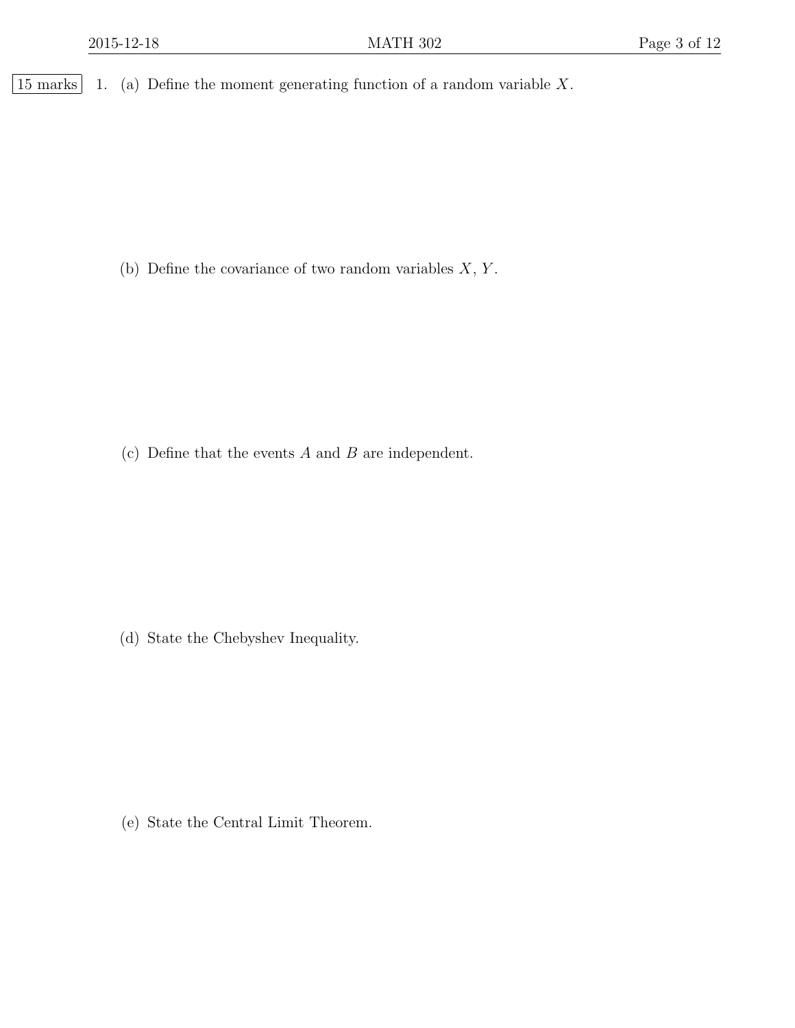$\boxed{15$  marks 1. (a) Define the moment generating function of a random variable X.

(b) Define the covariance of two random variables  $X, Y$ .

(c) Define that the events  $A$  and  $B$  are independent.

(d) State the Chebyshev Inequality.

(e) State the Central Limit Theorem.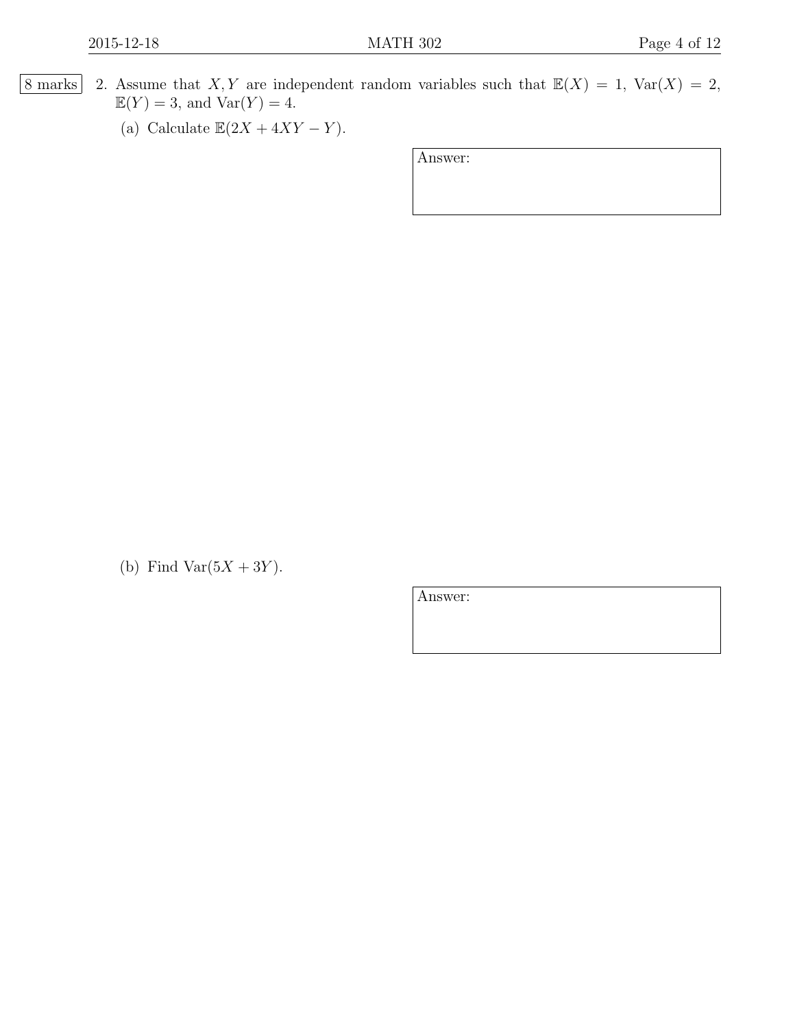- 8 marks 2. Assume that X, Y are independent random variables such that  $\mathbb{E}(X) = 1$ ,  $\text{Var}(X) = 2$ ,  $\mathbb{E}(Y) = 3$ , and  $\text{Var}(Y) = 4$ .
	- (a) Calculate  $\mathbb{E}(2X + 4XY Y)$ .

Answer:

(b) Find Var $(5X + 3Y)$ .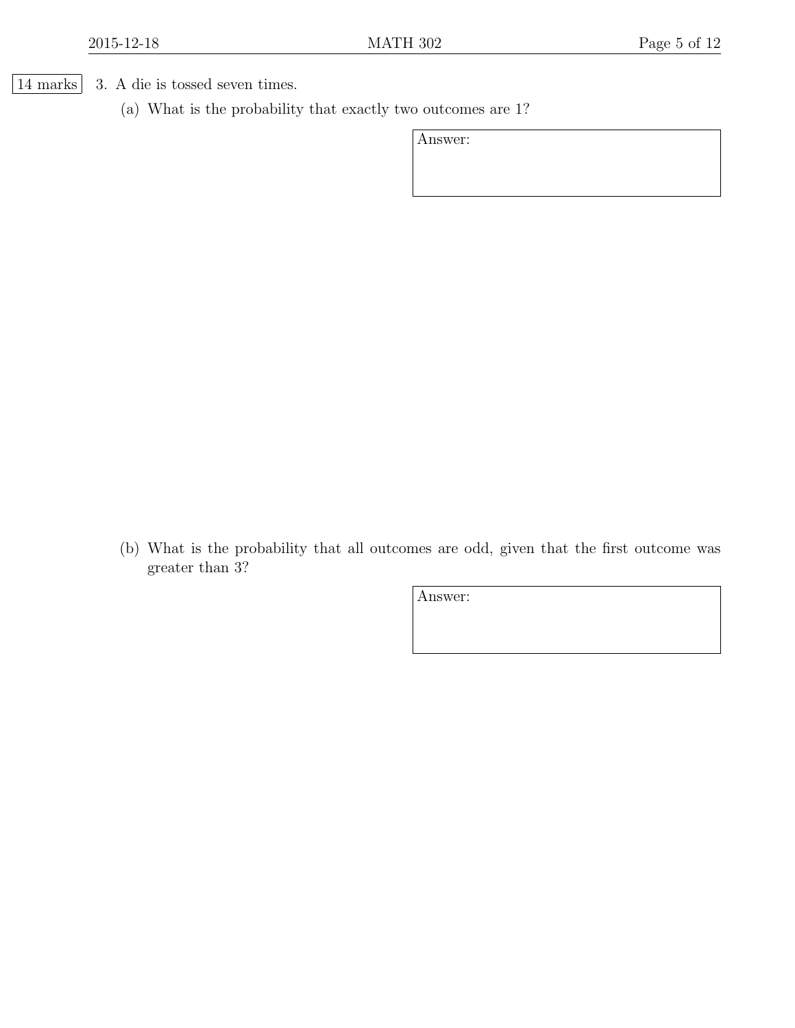14 marks 3. A die is tossed seven times.

(a) What is the probability that exactly two outcomes are 1?

Answer:

(b) What is the probability that all outcomes are odd, given that the first outcome was greater than 3?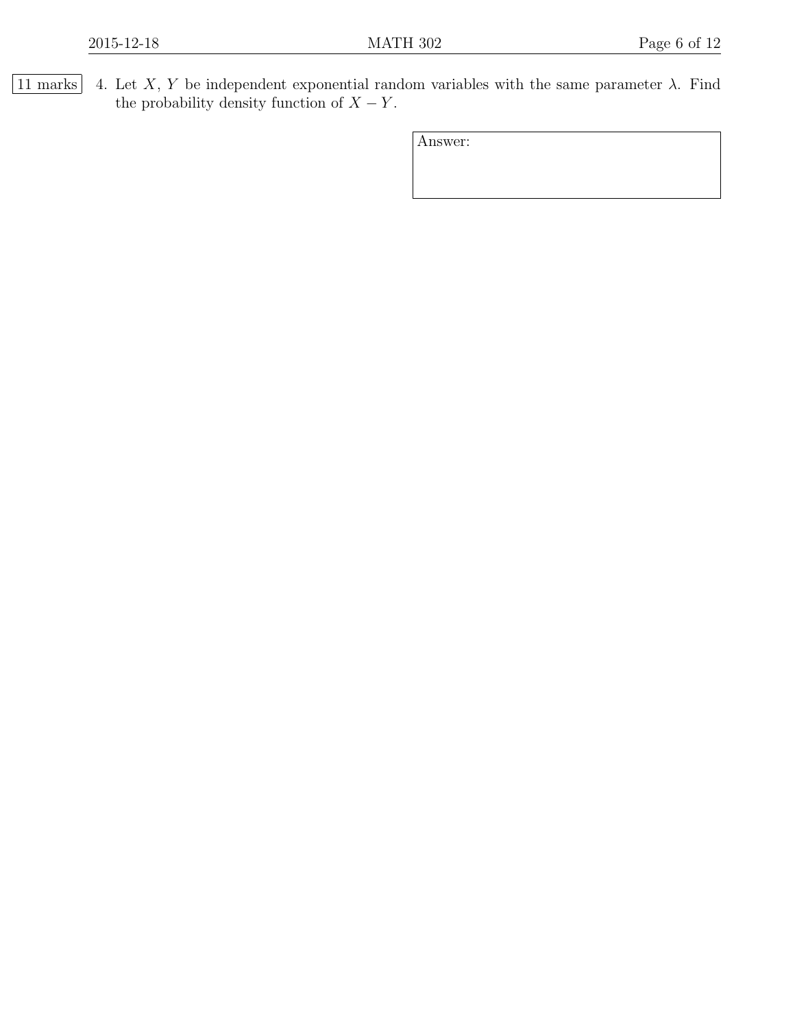$\boxed{11 \text{ marks}}$  4. Let X, Y be independent exponential random variables with the same parameter  $\lambda$ . Find the probability density function of  $X - Y$ .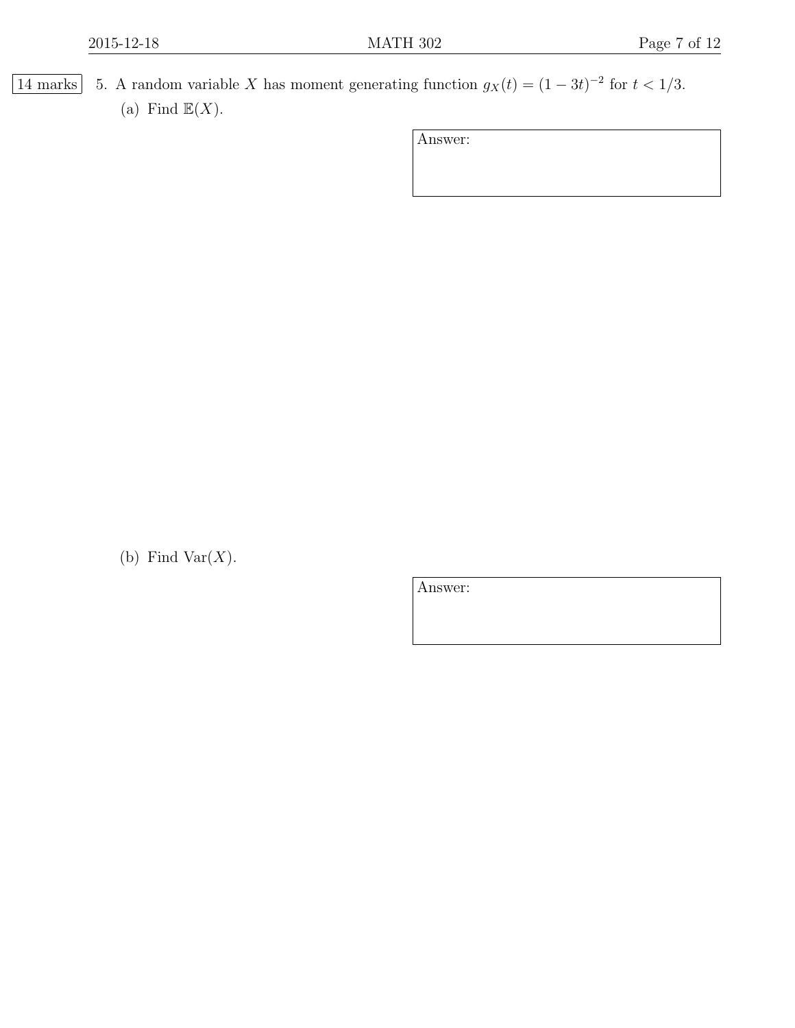14 marks 5. A random variable X has moment generating function  $g_X(t) = (1-3t)^{-2}$  for  $t < 1/3$ . (a) Find  $\mathbb{E}(X)$ .

Answer:

(b) Find Var $(X)$ .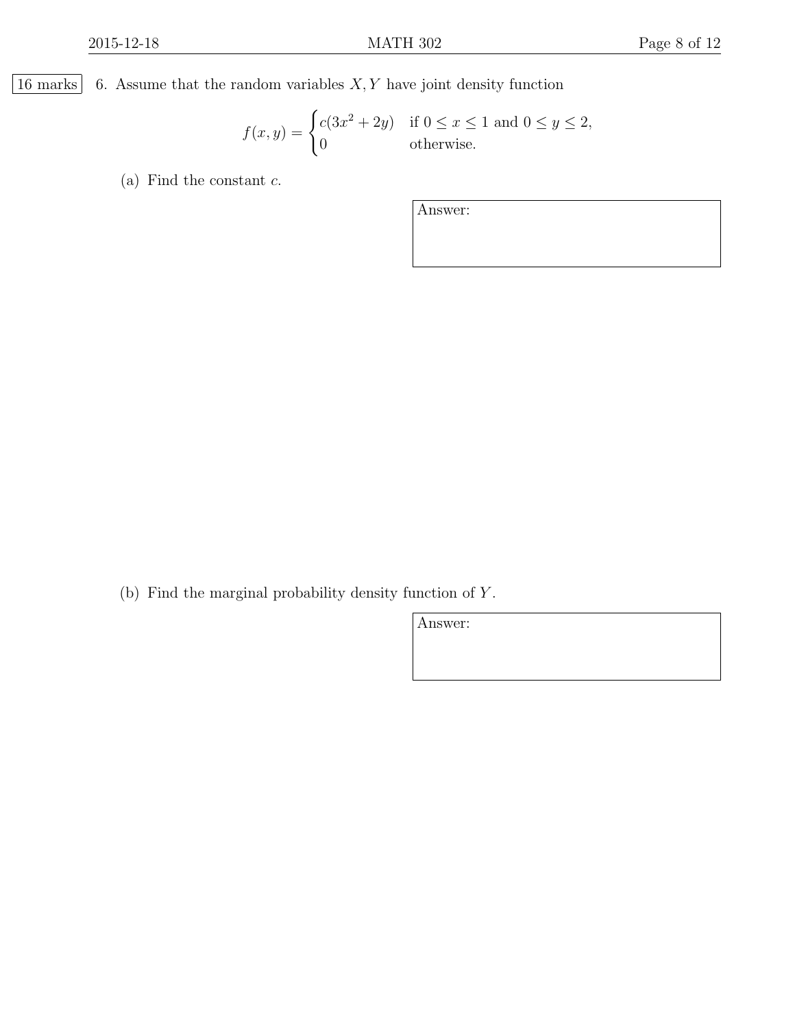$\boxed{16$  marks 6. Assume that the random variables  $X, Y$  have joint density function

$$
f(x,y) = \begin{cases} c(3x^2 + 2y) & \text{if } 0 \le x \le 1 \text{ and } 0 \le y \le 2, \\ 0 & \text{otherwise.} \end{cases}
$$

(a) Find the constant  $c$ .

Answer:

(b) Find the marginal probability density function of Y .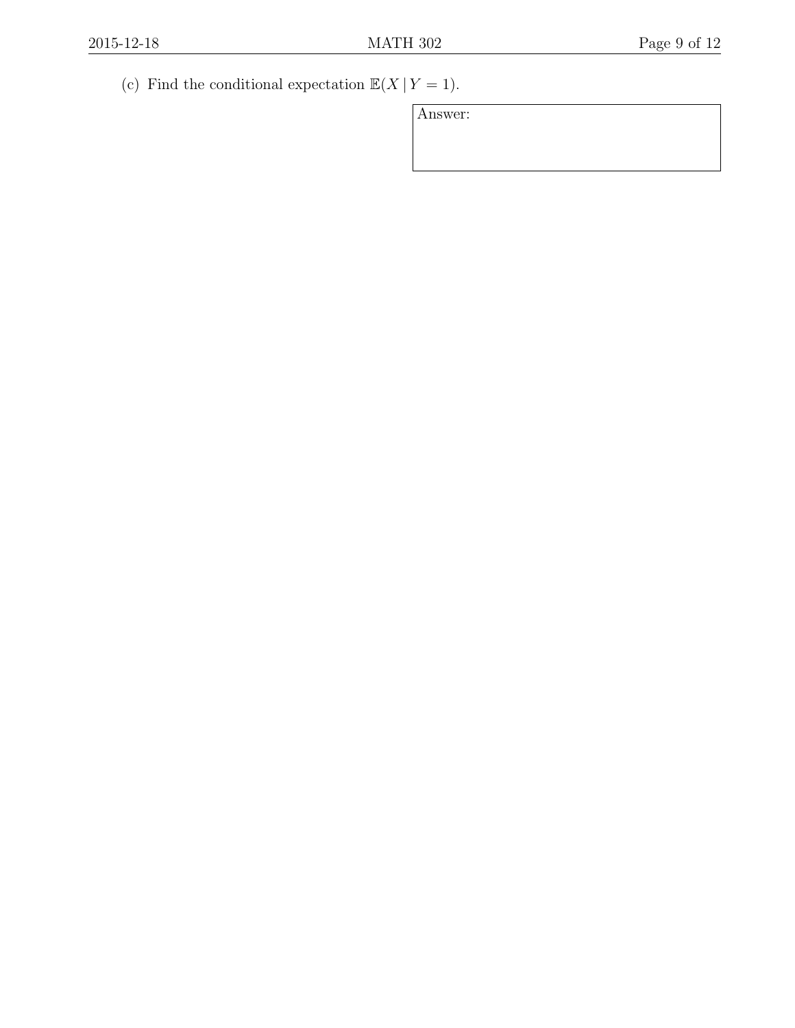(c) Find the conditional expectation  $\mathbb{E}(X | Y = 1)$ .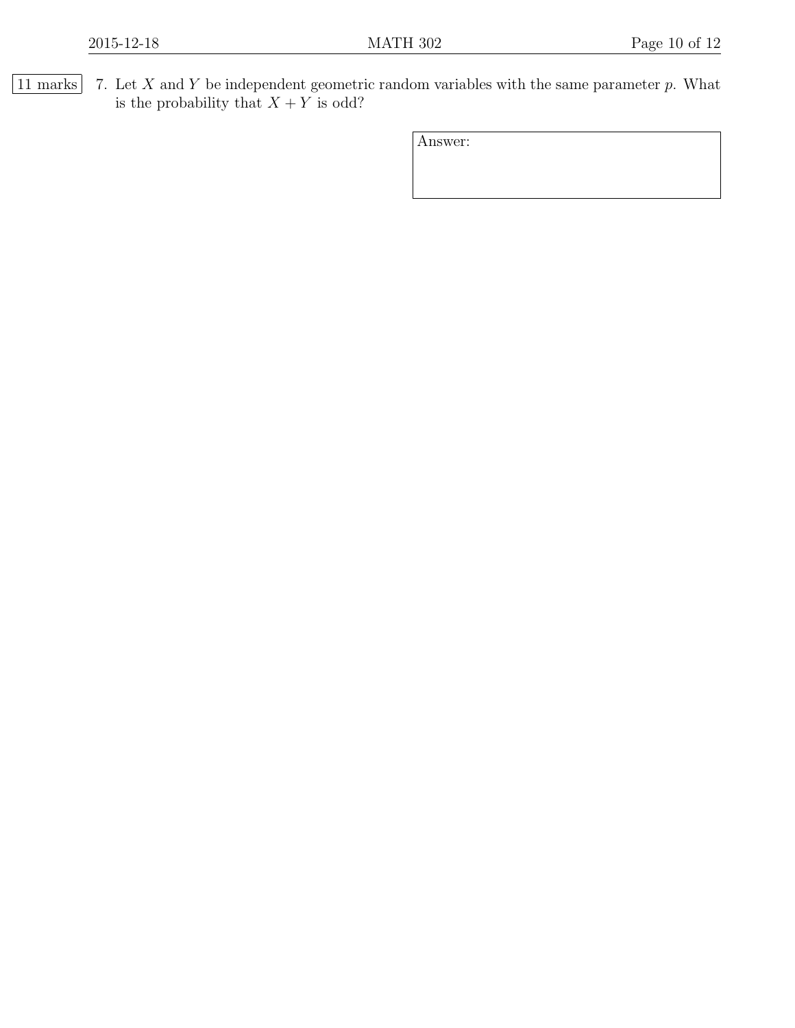$\boxed{11 \text{ marks}}$  7. Let X and Y be independent geometric random variables with the same parameter p. What is the probability that  $X + Y$  is odd?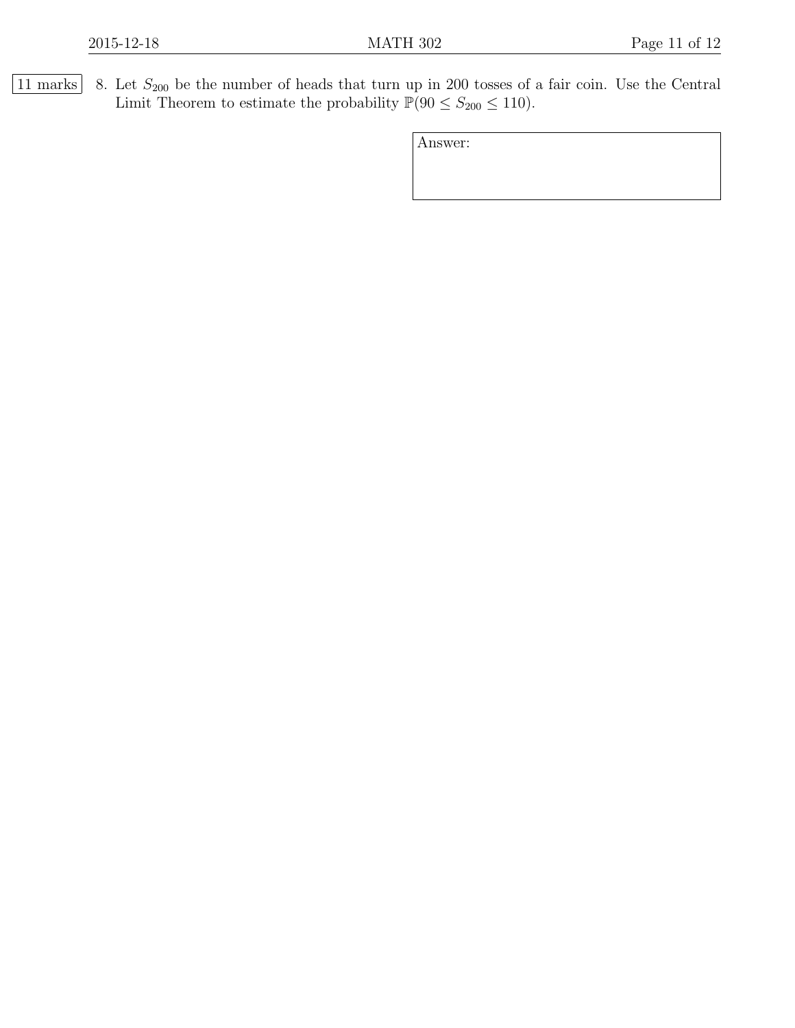$\boxed{11 \text{ marks}}$  8. Let  $S_{200}$  be the number of heads that turn up in 200 tosses of a fair coin. Use the Central Limit Theorem to estimate the probability  $\mathbb{P}(90 \le S_{200} \le 110)$ .